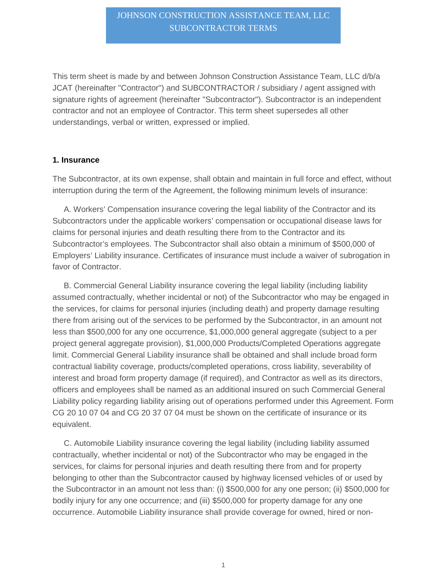### JOHNSON CONSTRUCTION ASSISTANCE TEAM, LLC SUBCONTRACTOR TERMS

This term sheet is made by and between Johnson Construction Assistance Team, LLC d/b/a JCAT (hereinafter "Contractor") and SUBCONTRACTOR / subsidiary / agent assigned with signature rights of agreement (hereinafter "Subcontractor"). Subcontractor is an independent contractor and not an employee of Contractor. This term sheet supersedes all other understandings, verbal or written, expressed or implied.

#### **1. Insurance**

The Subcontractor, at its own expense, shall obtain and maintain in full force and effect, without interruption during the term of the Agreement, the following minimum levels of insurance:

A. Workers' Compensation insurance covering the legal liability of the Contractor and its Subcontractors under the applicable workers' compensation or occupational disease laws for claims for personal injuries and death resulting there from to the Contractor and its Subcontractor's employees. The Subcontractor shall also obtain a minimum of \$500,000 of Employers' Liability insurance. Certificates of insurance must include a waiver of subrogation in favor of Contractor.

B. Commercial General Liability insurance covering the legal liability (including liability assumed contractually, whether incidental or not) of the Subcontractor who may be engaged in the services, for claims for personal injuries (including death) and property damage resulting there from arising out of the services to be performed by the Subcontractor, in an amount not less than \$500,000 for any one occurrence, \$1,000,000 general aggregate (subject to a per project general aggregate provision), \$1,000,000 Products/Completed Operations aggregate limit. Commercial General Liability insurance shall be obtained and shall include broad form contractual liability coverage, products/completed operations, cross liability, severability of interest and broad form property damage (if required), and Contractor as well as its directors, officers and employees shall be named as an additional insured on such Commercial General Liability policy regarding liability arising out of operations performed under this Agreement. Form CG 20 10 07 04 and CG 20 37 07 04 must be shown on the certificate of insurance or its equivalent.

C. Automobile Liability insurance covering the legal liability (including liability assumed contractually, whether incidental or not) of the Subcontractor who may be engaged in the services, for claims for personal injuries and death resulting there from and for property belonging to other than the Subcontractor caused by highway licensed vehicles of or used by the Subcontractor in an amount not less than: (i) \$500,000 for any one person; (ii) \$500,000 for bodily injury for any one occurrence; and (iii) \$500,000 for property damage for any one occurrence. Automobile Liability insurance shall provide coverage for owned, hired or non-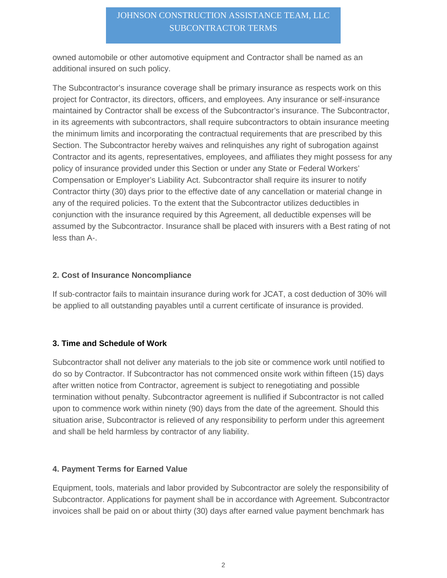# JOHNSON CONSTRUCTION ASSISTANCE TEAM, LLC SUBCONTRACTOR TERMS

owned automobile or other automotive equipment and Contractor shall be named as an additional insured on such policy.

The Subcontractor's insurance coverage shall be primary insurance as respects work on this project for Contractor, its directors, officers, and employees. Any insurance or self-insurance maintained by Contractor shall be excess of the Subcontractor's insurance. The Subcontractor, in its agreements with subcontractors, shall require subcontractors to obtain insurance meeting the minimum limits and incorporating the contractual requirements that are prescribed by this Section. The Subcontractor hereby waives and relinquishes any right of subrogation against Contractor and its agents, representatives, employees, and affiliates they might possess for any policy of insurance provided under this Section or under any State or Federal Workers' Compensation or Employer's Liability Act. Subcontractor shall require its insurer to notify Contractor thirty (30) days prior to the effective date of any cancellation or material change in any of the required policies. To the extent that the Subcontractor utilizes deductibles in conjunction with the insurance required by this Agreement, all deductible expenses will be assumed by the Subcontractor. Insurance shall be placed with insurers with a Best rating of not less than A-.

#### **2. Cost of Insurance Noncompliance**

If sub-contractor fails to maintain insurance during work for JCAT, a cost deduction of 30% will be applied to all outstanding payables until a current certificate of insurance is provided.

### **3. Time and Schedule of Work**

Subcontractor shall not deliver any materials to the job site or commence work until notified to do so by Contractor. If Subcontractor has not commenced onsite work within fifteen (15) days after written notice from Contractor, agreement is subject to renegotiating and possible termination without penalty. Subcontractor agreement is nullified if Subcontractor is not called upon to commence work within ninety (90) days from the date of the agreement. Should this situation arise, Subcontractor is relieved of any responsibility to perform under this agreement and shall be held harmless by contractor of any liability.

### **4. Payment Terms for Earned Value**

Equipment, tools, materials and labor provided by Subcontractor are solely the responsibility of Subcontractor. Applications for payment shall be in accordance with Agreement. Subcontractor invoices shall be paid on or about thirty (30) days after earned value payment benchmark has